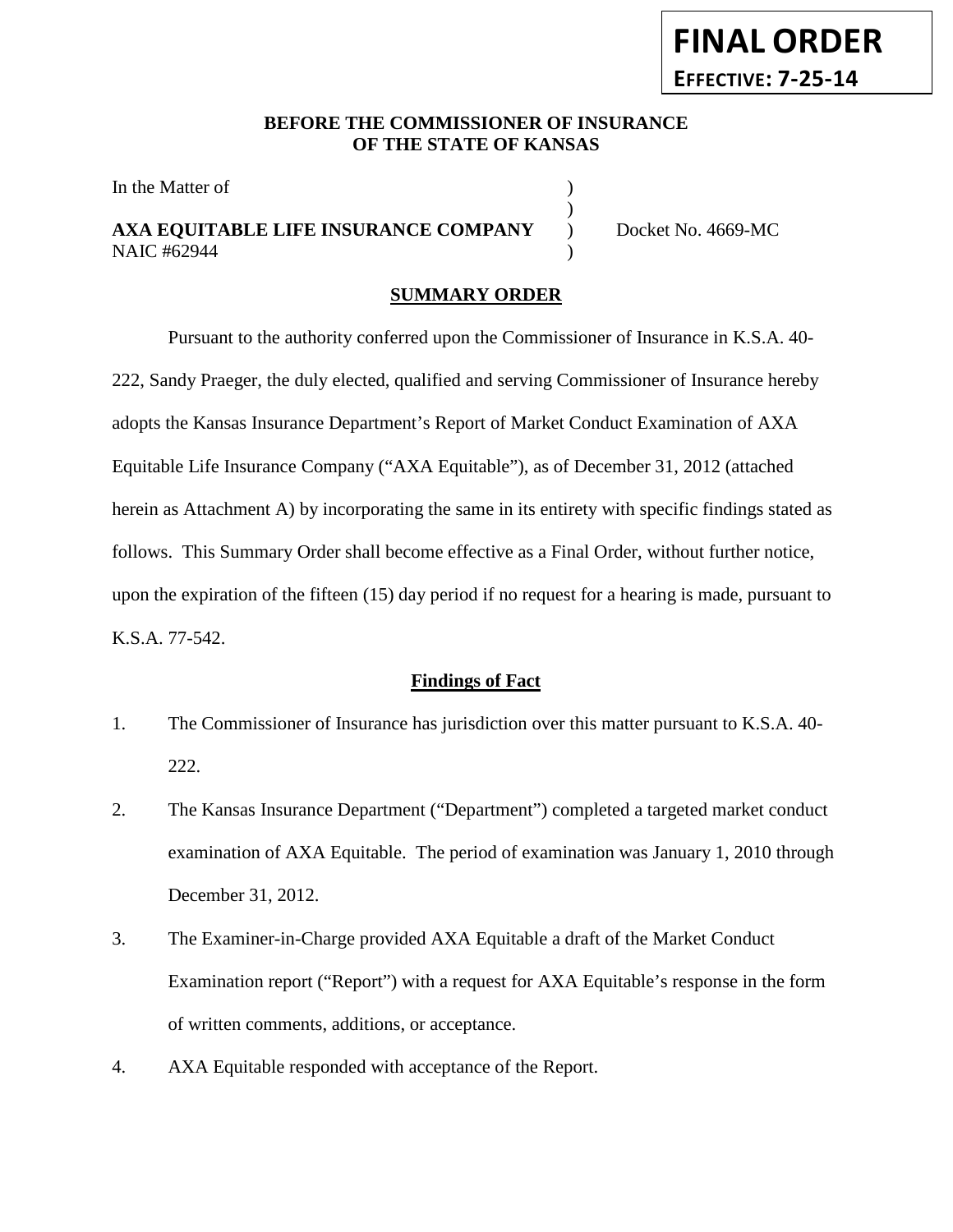# **BEFORE THE COMMISSIONER OF INSURANCE OF THE STATE OF KANSAS**

)

In the Matter of

## **AXA EQUITABLE LIFE INSURANCE COMPANY** ) Docket No. 4669-MC NAIC #62944 (1992)

**FINAL ORDER**

**EFFECTIVE: 7-25-14**

### **SUMMARY ORDER**

Pursuant to the authority conferred upon the Commissioner of Insurance in K.S.A. 40- 222, Sandy Praeger, the duly elected, qualified and serving Commissioner of Insurance hereby adopts the Kansas Insurance Department's Report of Market Conduct Examination of AXA Equitable Life Insurance Company ("AXA Equitable"), as of December 31, 2012 (attached herein as Attachment A) by incorporating the same in its entirety with specific findings stated as follows. This Summary Order shall become effective as a Final Order, without further notice, upon the expiration of the fifteen (15) day period if no request for a hearing is made, pursuant to K.S.A. 77-542.

#### **Findings of Fact**

- 1. The Commissioner of Insurance has jurisdiction over this matter pursuant to K.S.A. 40- 222.
- 2. The Kansas Insurance Department ("Department") completed a targeted market conduct examination of AXA Equitable. The period of examination was January 1, 2010 through December 31, 2012.
- 3. The Examiner-in-Charge provided AXA Equitable a draft of the Market Conduct Examination report ("Report") with a request for AXA Equitable's response in the form of written comments, additions, or acceptance.
- 4. AXA Equitable responded with acceptance of the Report.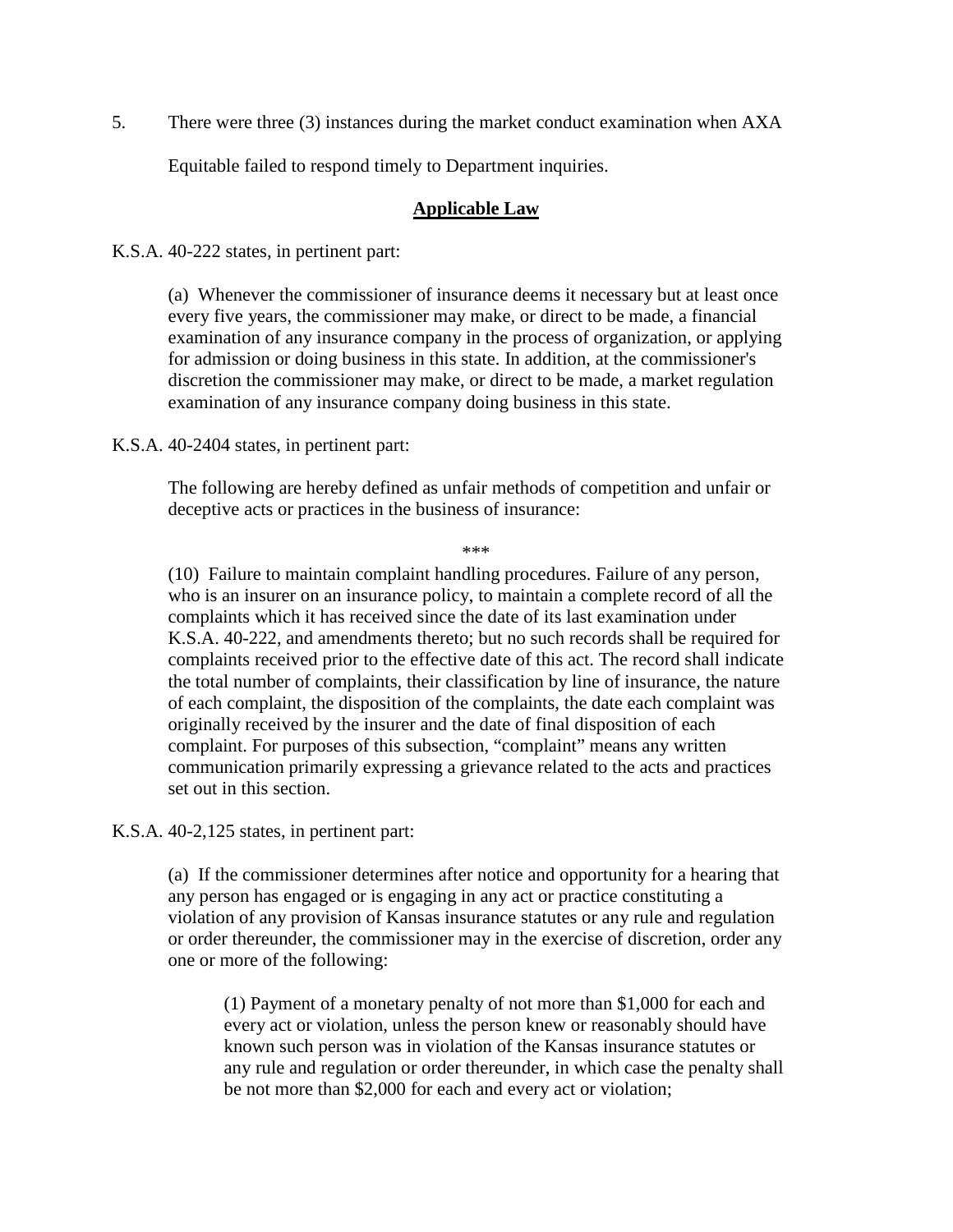5. There were three (3) instances during the market conduct examination when AXA

Equitable failed to respond timely to Department inquiries.

#### **Applicable Law**

K.S.A. 40-222 states, in pertinent part:

(a) Whenever the commissioner of insurance deems it necessary but at least once every five years, the commissioner may make, or direct to be made, a financial examination of any insurance company in the process of organization, or applying for admission or doing business in this state. In addition, at the commissioner's discretion the commissioner may make, or direct to be made, a market regulation examination of any insurance company doing business in this state.

K.S.A. 40-2404 states, in pertinent part:

The following are hereby defined as unfair methods of competition and unfair or deceptive acts or practices in the business of insurance:

\*\*\*

(10) Failure to maintain complaint handling procedures. Failure of any person, who is an insurer on an insurance policy, to maintain a complete record of all the complaints which it has received since the date of its last examination under K.S.A. 40-222, and amendments thereto; but no such records shall be required for complaints received prior to the effective date of this act. The record shall indicate the total number of complaints, their classification by line of insurance, the nature of each complaint, the disposition of the complaints, the date each complaint was originally received by the insurer and the date of final disposition of each complaint. For purposes of this subsection, "complaint" means any written communication primarily expressing a grievance related to the acts and practices set out in this section.

K.S.A. 40-2,125 states, in pertinent part:

(a) If the commissioner determines after notice and opportunity for a hearing that any person has engaged or is engaging in any act or practice constituting a violation of any provision of Kansas insurance statutes or any rule and regulation or order thereunder, the commissioner may in the exercise of discretion, order any one or more of the following:

(1) Payment of a monetary penalty of not more than \$1,000 for each and every act or violation, unless the person knew or reasonably should have known such person was in violation of the Kansas insurance statutes or any rule and regulation or order thereunder, in which case the penalty shall be not more than \$2,000 for each and every act or violation;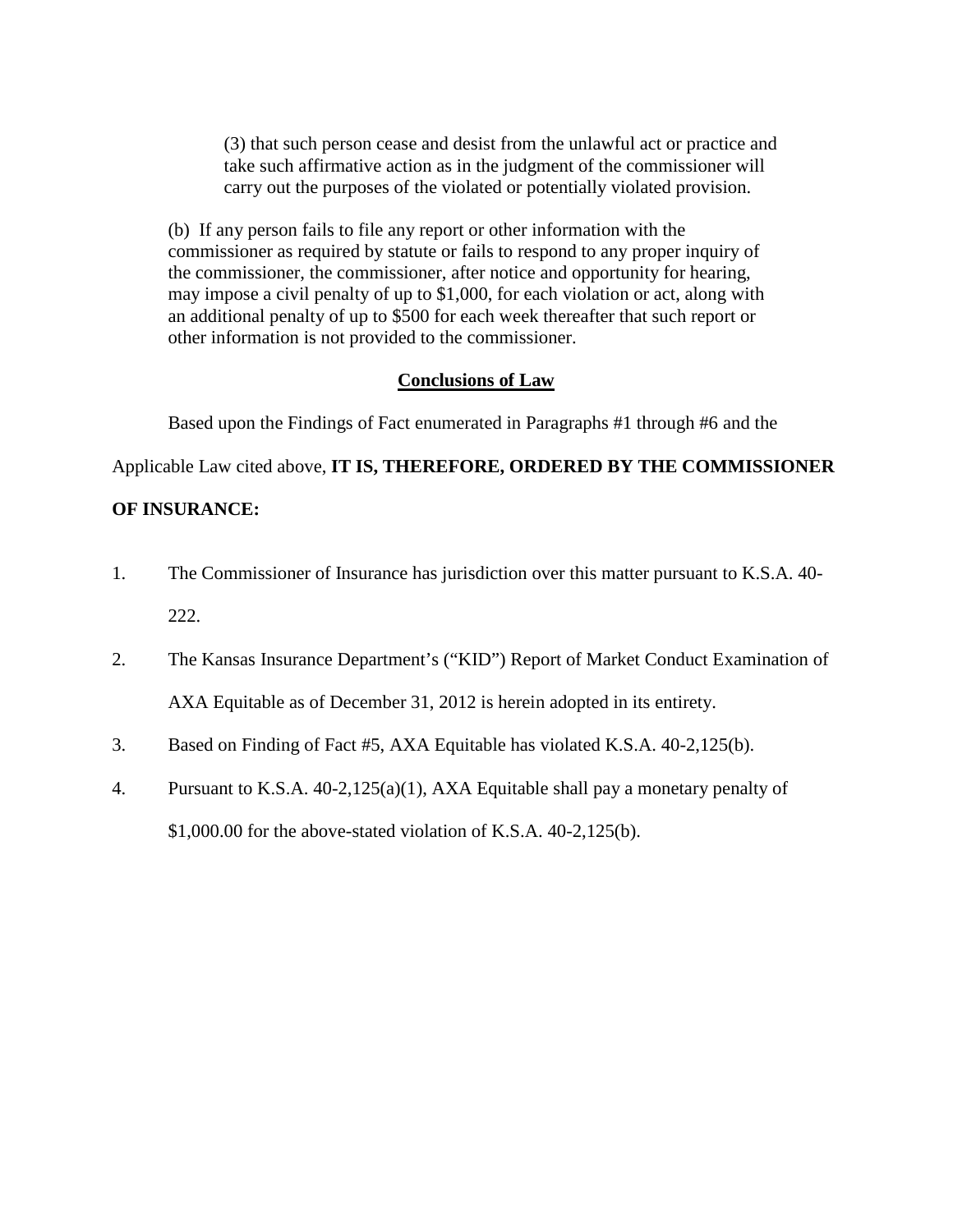(3) that such person cease and desist from the unlawful act or practice and take such affirmative action as in the judgment of the commissioner will carry out the purposes of the violated or potentially violated provision.

(b) If any person fails to file any report or other information with the commissioner as required by statute or fails to respond to any proper inquiry of the commissioner, the commissioner, after notice and opportunity for hearing, may impose a civil penalty of up to \$1,000, for each violation or act, along with an additional penalty of up to \$500 for each week thereafter that such report or other information is not provided to the commissioner.

### **Conclusions of Law**

Based upon the Findings of Fact enumerated in Paragraphs #1 through #6 and the

Applicable Law cited above, **IT IS, THEREFORE, ORDERED BY THE COMMISSIONER** 

### **OF INSURANCE:**

- 1. The Commissioner of Insurance has jurisdiction over this matter pursuant to K.S.A. 40- 222.
- 2. The Kansas Insurance Department's ("KID") Report of Market Conduct Examination of AXA Equitable as of December 31, 2012 is herein adopted in its entirety.
- 3. Based on Finding of Fact #5, AXA Equitable has violated K.S.A. 40-2,125(b).
- 4. Pursuant to K.S.A. 40-2,125(a)(1), AXA Equitable shall pay a monetary penalty of \$1,000.00 for the above-stated violation of K.S.A. 40-2,125(b).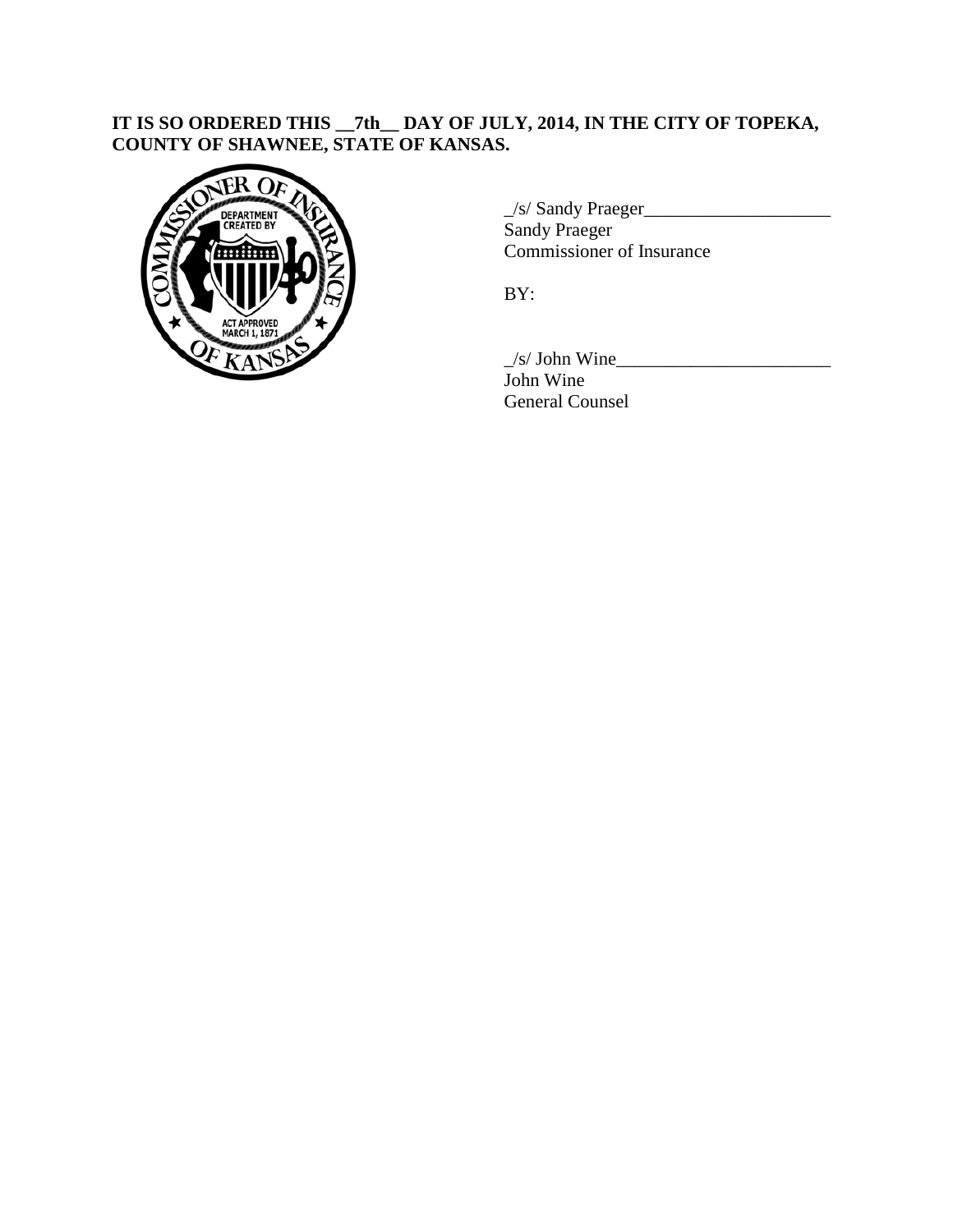## **IT IS SO ORDERED THIS \_\_7th\_\_ DAY OF JULY, 2014, IN THE CITY OF TOPEKA, COUNTY OF SHAWNEE, STATE OF KANSAS.**



 $\angle$ s/ Sandy Praeger $\angle$ Sandy Praeger Commissioner of Insurance

BY:

 $\angle$ s/ John Wine $\angle$ John Wine General Counsel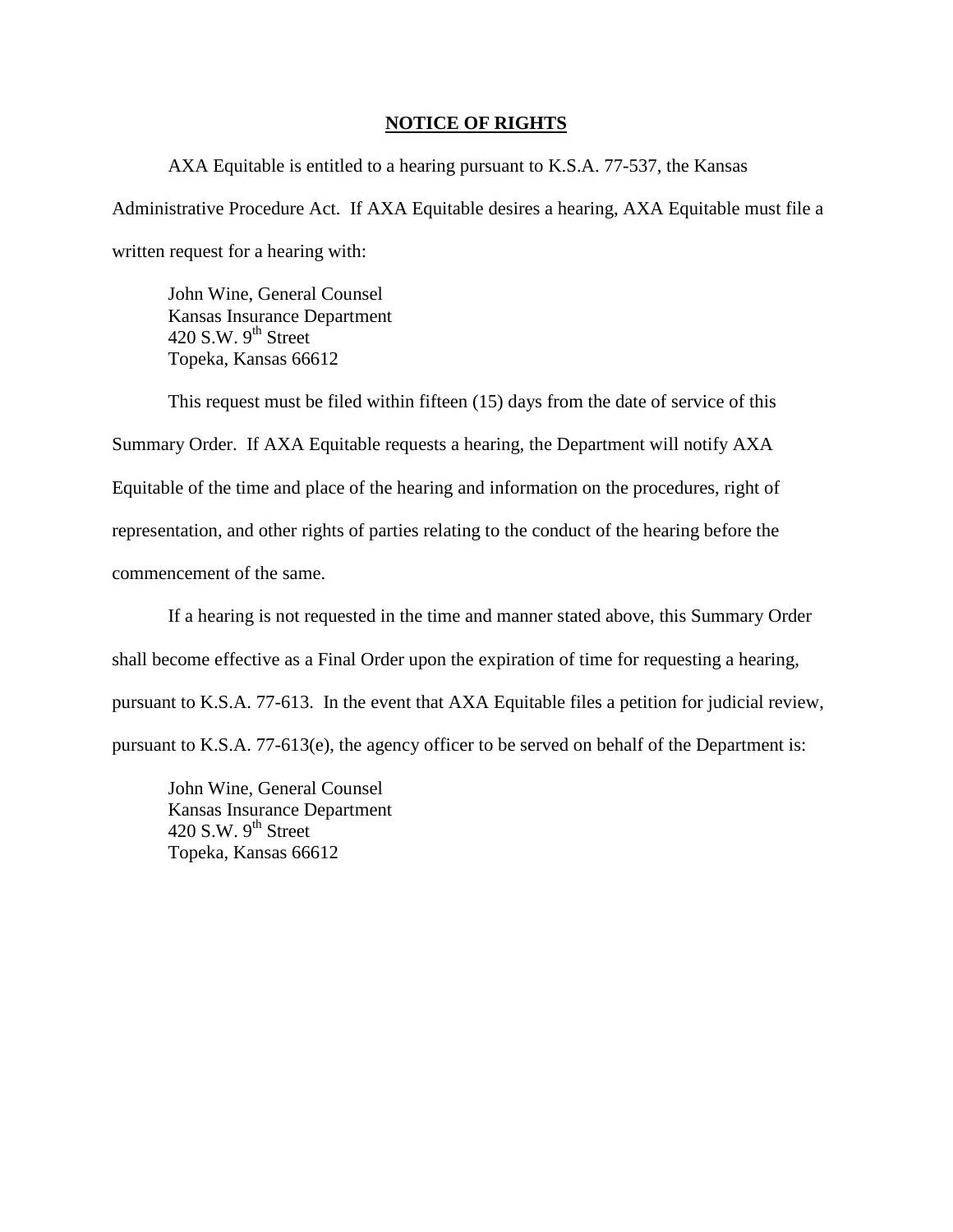#### **NOTICE OF RIGHTS**

AXA Equitable is entitled to a hearing pursuant to K.S.A. 77-537, the Kansas Administrative Procedure Act. If AXA Equitable desires a hearing, AXA Equitable must file a written request for a hearing with:

John Wine, General Counsel Kansas Insurance Department 420 S.W.  $9^{th}$  Street Topeka, Kansas 66612

This request must be filed within fifteen (15) days from the date of service of this Summary Order. If AXA Equitable requests a hearing, the Department will notify AXA Equitable of the time and place of the hearing and information on the procedures, right of representation, and other rights of parties relating to the conduct of the hearing before the commencement of the same.

If a hearing is not requested in the time and manner stated above, this Summary Order shall become effective as a Final Order upon the expiration of time for requesting a hearing, pursuant to K.S.A. 77-613. In the event that AXA Equitable files a petition for judicial review, pursuant to K.S.A. 77-613(e), the agency officer to be served on behalf of the Department is:

John Wine, General Counsel Kansas Insurance Department 420 S.W.  $9<sup>th</sup>$  Street Topeka, Kansas 66612